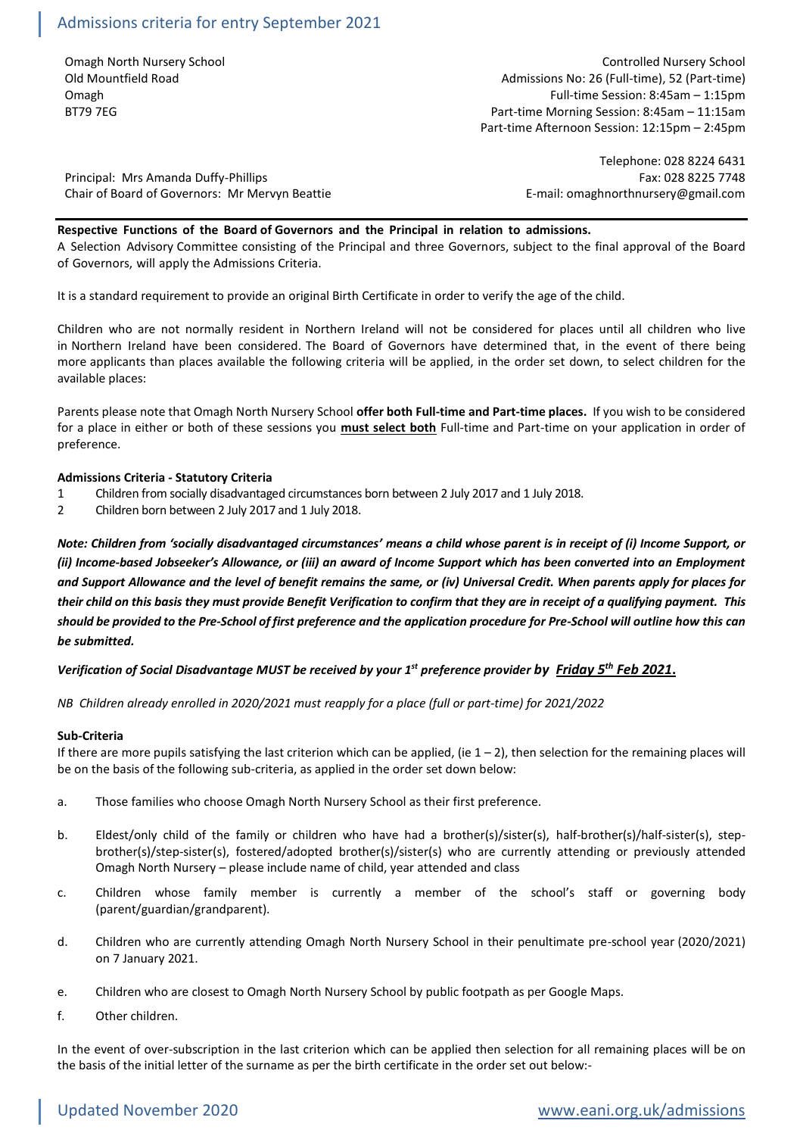Omagh North Nursery School Controlled Nursery School Old Mountfield Road Admissions No: 26 (Full-time), 52 (Part-time) Omagh Full-time Session: 8:45am – 1:15pm BT79 7EG **Part-time Morning Session: 8:45am – 11:15am** Part-time Morning Session: 8:45am – 11:15am Part-time Afternoon Session: 12:15pm – 2:45pm

Principal: Mrs Amanda Duffy-Phillips Fax: 028 8225 7748 Chair of Board of Governors: Mr Mervyn Beattie **E-mail: omaghnorthnursery@gmail.com** 

Telephone: 028 8224 6431

## **Respective Functions of the Board of Governors and the Principal in relation to admissions.**

A Selection Advisory Committee consisting of the Principal and three Governors, subject to the final approval of the Board of Governors, will apply the Admissions Criteria.

It is a standard requirement to provide an original Birth Certificate in order to verify the age of the child.

Children who are not normally resident in Northern Ireland will not be considered for places until all children who live in Northern Ireland have been considered. The Board of Governors have determined that, in the event of there being more applicants than places available the following criteria will be applied, in the order set down, to select children for the available places:

Parents please note that Omagh North Nursery School **offer both Full-time and Part-time places.** If you wish to be considered for a place in either or both of these sessions you **must select both** Full-time and Part-time on your application in order of preference.

## **Admissions Criteria - Statutory Criteria**

- 1 Children from socially disadvantaged circumstances born between 2 July 2017 and 1 July 2018.
- 2 Children born between 2 July 2017 and 1 July 2018.

*Note: Children from 'socially disadvantaged circumstances' means a child whose parent is in receipt of (i) Income Support, or (ii) Income-based Jobseeker's Allowance, or (iii) an award of Income Support which has been converted into an Employment and Support Allowance and the level of benefit remains the same, or (iv) Universal Credit. When parents apply for places for their child on this basis they must provide Benefit Verification to confirm that they are in receipt of a qualifying payment. This should be provided to the Pre-School of first preference and the application procedure for Pre-School will outline how this can be submitted.*

# *Verification of Social Disadvantage MUST be received by your 1st preference provider by Friday 5 th Feb 2021***.**

*NB Children already enrolled in 2020/2021 must reapply for a place (full or part-time) for 2021/2022*

### **Sub-Criteria**

If there are more pupils satisfying the last criterion which can be applied, (ie  $1 - 2$ ), then selection for the remaining places will be on the basis of the following sub-criteria, as applied in the order set down below:

- a. Those families who choose Omagh North Nursery School as their first preference.
- b. Eldest/only child of the family or children who have had a brother(s)/sister(s), half-brother(s)/half-sister(s), stepbrother(s)/step-sister(s), fostered/adopted brother(s)/sister(s) who are currently attending or previously attended Omagh North Nursery – please include name of child, year attended and class
- c. Children whose family member is currently a member of the school's staff or governing body (parent/guardian/grandparent).
- d. Children who are currently attending Omagh North Nursery School in their penultimate pre-school year (2020/2021) on 7 January 2021.
- e. Children who are closest to Omagh North Nursery School by public footpath as per Google Maps.
- f. Other children.

In the event of over-subscription in the last criterion which can be applied then selection for all remaining places will be on the basis of the initial letter of the surname as per the birth certificate in the order set out below:-